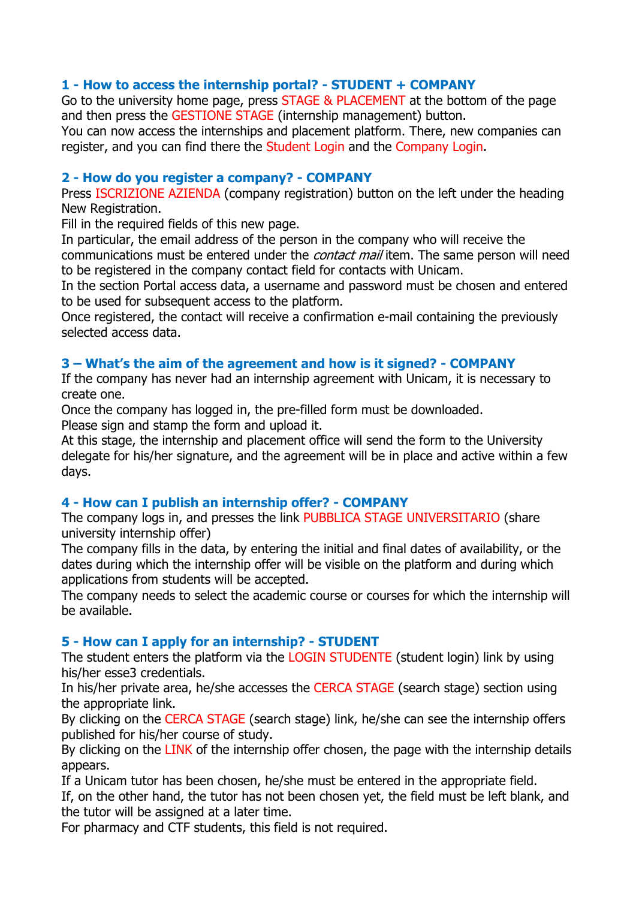# **1 - How to access the internship portal? - STUDENT + COMPANY**

Go to the university home page, press STAGE & PLACEMENT at the bottom of the page and then press the GESTIONE STAGE (internship management) button.

You can now access the internships and placement platform. There, new companies can register, and you can find there the Student Login and the Company Login.

### **2 - How do you register a company? - COMPANY**

Press ISCRIZIONE AZIENDA (company registration) button on the left under the heading New Registration.

Fill in the required fields of this new page.

In particular, the email address of the person in the company who will receive the communications must be entered under the *contact mail* item. The same person will need to be registered in the company contact field for contacts with Unicam.

In the section Portal access data, a username and password must be chosen and entered to be used for subsequent access to the platform.

Once registered, the contact will receive a confirmation e-mail containing the previously selected access data.

# **3 – What's the aim of the agreement and how is it signed? - COMPANY**

If the company has never had an internship agreement with Unicam, it is necessary to create one.

Once the company has logged in, the pre-filled form must be downloaded. Please sign and stamp the form and upload it.

At this stage, the internship and placement office will send the form to the University delegate for his/her signature, and the agreement will be in place and active within a few days.

# **4 - How can I publish an internship offer? - COMPANY**

The company logs in, and presses the link PUBBLICA STAGE UNIVERSITARIO (share university internship offer)

The company fills in the data, by entering the initial and final dates of availability, or the dates during which the internship offer will be visible on the platform and during which applications from students will be accepted.

The company needs to select the academic course or courses for which the internship will be available.

# **5 - How can I apply for an internship? - STUDENT**

The student enters the platform via the LOGIN STUDENTE (student login) link by using his/her esse3 credentials.

In his/her private area, he/she accesses the CERCA STAGE (search stage) section using the appropriate link.

By clicking on the CERCA STAGE (search stage) link, he/she can see the internship offers published for his/her course of study.

By clicking on the LINK of the internship offer chosen, the page with the internship details appears.

If a Unicam tutor has been chosen, he/she must be entered in the appropriate field.

If, on the other hand, the tutor has not been chosen yet, the field must be left blank, and the tutor will be assigned at a later time.

For pharmacy and CTF students, this field is not required.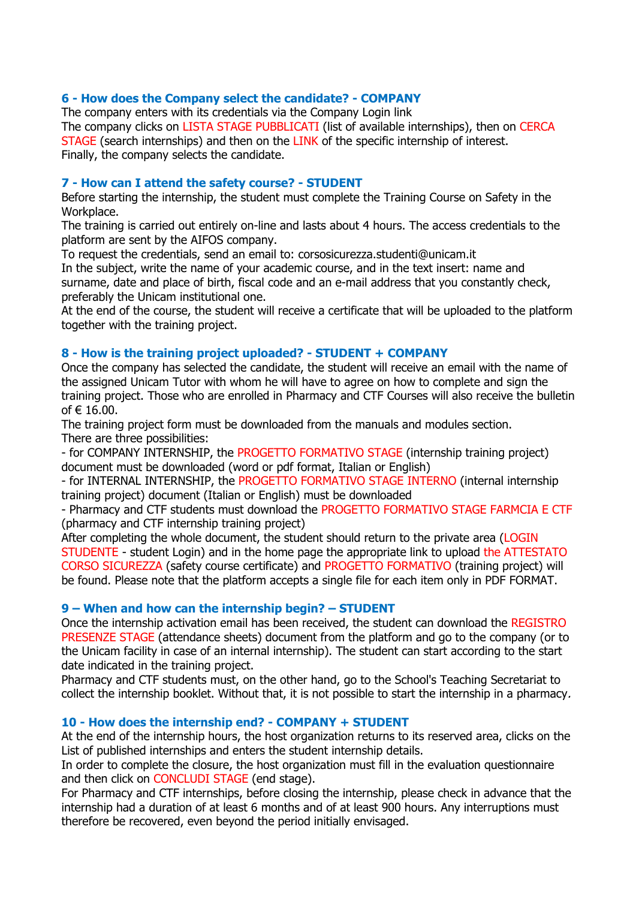### **6 - How does the Company select the candidate? - COMPANY**

The company enters with its credentials via the Company Login link The company clicks on LISTA STAGE PUBBLICATI (list of available internships), then on CERCA STAGE (search internships) and then on the LINK of the specific internship of interest. Finally, the company selects the candidate.

### **7 - How can I attend the safety course? - STUDENT**

Before starting the internship, the student must complete the Training Course on Safety in the Workplace.

The training is carried out entirely on-line and lasts about 4 hours. The access credentials to the platform are sent by the AIFOS company.

To request the credentials, send an email to: corsosicurezza.studenti@unicam.it

In the subject, write the name of your academic course, and in the text insert: name and surname, date and place of birth, fiscal code and an e-mail address that you constantly check, preferably the Unicam institutional one.

At the end of the course, the student will receive a certificate that will be uploaded to the platform together with the training project.

### **8 - How is the training project uploaded? - STUDENT + COMPANY**

Once the company has selected the candidate, the student will receive an email with the name of the assigned Unicam Tutor with whom he will have to agree on how to complete and sign the training project. Those who are enrolled in Pharmacy and CTF Courses will also receive the bulletin of € 16.00.

The training project form must be downloaded from the manuals and modules section. There are three possibilities:

- for COMPANY INTERNSHIP, the PROGETTO FORMATIVO STAGE (internship training project) document must be downloaded (word or pdf format, Italian or English)

- for INTERNAL INTERNSHIP, the PROGETTO FORMATIVO STAGE INTERNO (internal internship training project) document (Italian or English) must be downloaded

- Pharmacy and CTF students must download the PROGETTO FORMATIVO STAGE FARMCIA E CTF (pharmacy and CTF internship training project)

After completing the whole document, the student should return to the private area (LOGIN STUDENTE - student Login) and in the home page the appropriate link to upload the ATTESTATO CORSO SICUREZZA (safety course certificate) and PROGETTO FORMATIVO (training project) will be found. Please note that the platform accepts a single file for each item only in PDF FORMAT.

#### **9 – When and how can the internship begin? – STUDENT**

Once the internship activation email has been received, the student can download the REGISTRO PRESENZE STAGE (attendance sheets) document from the platform and go to the company (or to the Unicam facility in case of an internal internship). The student can start according to the start date indicated in the training project.

Pharmacy and CTF students must, on the other hand, go to the School's Teaching Secretariat to collect the internship booklet. Without that, it is not possible to start the internship in a pharmacy.

#### **10 - How does the internship end? - COMPANY + STUDENT**

At the end of the internship hours, the host organization returns to its reserved area, clicks on the List of published internships and enters the student internship details.

In order to complete the closure, the host organization must fill in the evaluation questionnaire and then click on CONCLUDI STAGE (end stage).

For Pharmacy and CTF internships, before closing the internship, please check in advance that the internship had a duration of at least 6 months and of at least 900 hours. Any interruptions must therefore be recovered, even beyond the period initially envisaged.